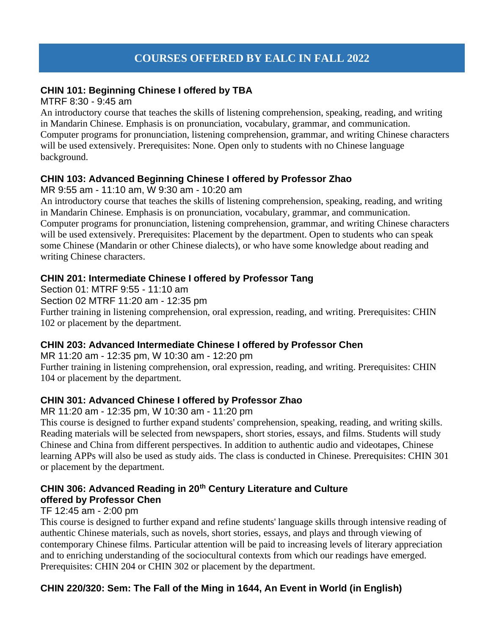# **COURSES OFFERED BY EALC IN FALL 2022**

### **CHIN 101: Beginning Chinese I offered by TBA**

#### MTRF 8:30 - 9:45 am

An introductory course that teaches the skills of listening comprehension, speaking, reading, and writing in Mandarin Chinese. Emphasis is on pronunciation, vocabulary, grammar, and communication. Computer programs for pronunciation, listening comprehension, grammar, and writing Chinese characters will be used extensively. Prerequisites: None. Open only to students with no Chinese language background.

#### **CHIN 103: Advanced Beginning Chinese I offered by Professor Zhao**

MR 9:55 am - 11:10 am, W 9:30 am - 10:20 am

An introductory course that teaches the skills of listening comprehension, speaking, reading, and writing in Mandarin Chinese. Emphasis is on pronunciation, vocabulary, grammar, and communication. Computer programs for pronunciation, listening comprehension, grammar, and writing Chinese characters will be used extensively. Prerequisites: Placement by the department. Open to students who can speak some Chinese (Mandarin or other Chinese dialects), or who have some knowledge about reading and writing Chinese characters.

#### **CHIN 201: Intermediate Chinese I offered by Professor Tang**

Section 01: MTRF 9:55 - 11:10 am Section 02 MTRF 11:20 am - 12:35 pm Further training in listening comprehension, oral expression, reading, and writing. Prerequisites: CHIN 102 or placement by the department.

#### **CHIN 203: Advanced Intermediate Chinese I offered by Professor Chen**

MR 11:20 am - 12:35 pm, W 10:30 am - 12:20 pm Further training in listening comprehension, oral expression, reading, and writing. Prerequisites: CHIN 104 or placement by the department.

## **CHIN 301: Advanced Chinese I offered by Professor Zhao**

MR 11:20 am - 12:35 pm, W 10:30 am - 11:20 pm

This course is designed to further expand students' comprehension, speaking, reading, and writing skills. Reading materials will be selected from newspapers, short stories, essays, and films. Students will study Chinese and China from different perspectives. In addition to authentic audio and videotapes, Chinese learning APPs will also be used as study aids. The class is conducted in Chinese. Prerequisites: CHIN 301 or placement by the department.

# **CHIN 306: Advanced Reading in 20th Century Literature and Culture offered by Professor Chen**

## TF 12:45 am - 2:00 pm

This course is designed to further expand and refine students' language skills through intensive reading of authentic Chinese materials, such as novels, short stories, essays, and plays and through viewing of contemporary Chinese films. Particular attention will be paid to increasing levels of literary appreciation and to enriching understanding of the sociocultural contexts from which our readings have emerged. Prerequisites: CHIN 204 or CHIN 302 or placement by the department.

## **CHIN 220/320: Sem: The Fall of the Ming in 1644, An Event in World (in English)**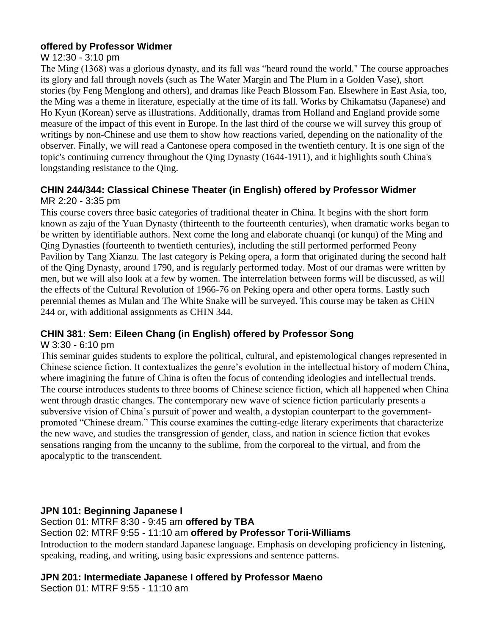## **offered by Professor Widmer**

### W 12:30 - 3:10 pm

The Ming (1368) was a glorious dynasty, and its fall was "heard round the world." The course approaches its glory and fall through novels (such as The Water Margin and The Plum in a Golden Vase), short stories (by Feng Menglong and others), and dramas like Peach Blossom Fan. Elsewhere in East Asia, too, the Ming was a theme in literature, especially at the time of its fall. Works by Chikamatsu (Japanese) and Ho Kyun (Korean) serve as illustrations. Additionally, dramas from Holland and England provide some measure of the impact of this event in Europe. In the last third of the course we will survey this group of writings by non-Chinese and use them to show how reactions varied, depending on the nationality of the observer. Finally, we will read a Cantonese opera composed in the twentieth century. It is one sign of the topic's continuing currency throughout the Qing Dynasty (1644-1911), and it highlights south China's longstanding resistance to the Qing.

## **CHIN 244/344: Classical Chinese Theater (in English) offered by Professor Widmer** MR 2:20 - 3:35 pm

This course covers three basic categories of traditional theater in China. It begins with the short form known as zaju of the Yuan Dynasty (thirteenth to the fourteenth centuries), when dramatic works began to be written by identifiable authors. Next come the long and elaborate chuanqi (or kunqu) of the Ming and Qing Dynasties (fourteenth to twentieth centuries), including the still performed performed Peony Pavilion by Tang Xianzu. The last category is Peking opera, a form that originated during the second half of the Qing Dynasty, around 1790, and is regularly performed today. Most of our dramas were written by men, but we will also look at a few by women. The interrelation between forms will be discussed, as will the effects of the Cultural Revolution of 1966-76 on Peking opera and other opera forms. Lastly such perennial themes as Mulan and The White Snake will be surveyed. This course may be taken as CHIN 244 or, with additional assignments as CHIN 344.

## **CHIN 381: Sem: Eileen Chang (in English) offered by Professor Song**

#### W 3:30 - 6:10 pm

This seminar guides students to explore the political, cultural, and epistemological changes represented in Chinese science fiction. It contextualizes the genre's evolution in the intellectual history of modern China, where imagining the future of China is often the focus of contending ideologies and intellectual trends. The course introduces students to three booms of Chinese science fiction, which all happened when China went through drastic changes. The contemporary new wave of science fiction particularly presents a subversive vision of China's pursuit of power and wealth, a dystopian counterpart to the governmentpromoted "Chinese dream." This course examines the cutting-edge literary experiments that characterize the new wave, and studies the transgression of gender, class, and nation in science fiction that evokes sensations ranging from the uncanny to the sublime, from the corporeal to the virtual, and from the apocalyptic to the transcendent.

## **JPN 101: Beginning Japanese I**

#### Section 01: MTRF 8:30 - 9:45 am **offered by TBA**

Section 02: MTRF 9:55 - 11:10 am **offered by Professor Torii-Williams**

Introduction to the modern standard Japanese language. Emphasis on developing proficiency in listening, speaking, reading, and writing, using basic expressions and sentence patterns.

## **JPN 201: Intermediate Japanese I offered by Professor Maeno**

Section 01: MTRF 9:55 - 11:10 am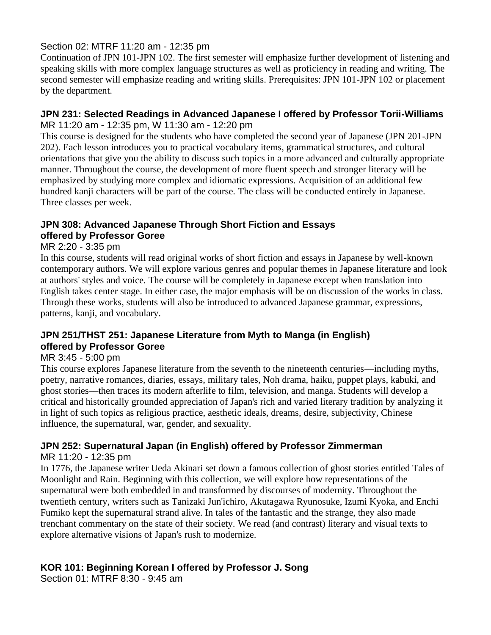## Section 02: MTRF 11:20 am - 12:35 pm

Continuation of JPN 101-JPN 102. The first semester will emphasize further development of listening and speaking skills with more complex language structures as well as proficiency in reading and writing. The second semester will emphasize reading and writing skills. Prerequisites: JPN 101-JPN 102 or placement by the department.

#### **JPN 231: Selected Readings in Advanced Japanese I offered by Professor Torii-Williams** MR 11:20 am - 12:35 pm, W 11:30 am - 12:20 pm

This course is designed for the students who have completed the second year of Japanese (JPN 201-JPN 202). Each lesson introduces you to practical vocabulary items, grammatical structures, and cultural orientations that give you the ability to discuss such topics in a more advanced and culturally appropriate manner. Throughout the course, the development of more fluent speech and stronger literacy will be emphasized by studying more complex and idiomatic expressions. Acquisition of an additional few hundred kanji characters will be part of the course. The class will be conducted entirely in Japanese. Three classes per week.

#### **JPN 308: Advanced Japanese Through Short Fiction and Essays offered by Professor Goree**

## MR 2:20 - 3:35 pm

In this course, students will read original works of short fiction and essays in Japanese by well-known contemporary authors. We will explore various genres and popular themes in Japanese literature and look at authors' styles and voice. The course will be completely in Japanese except when translation into English takes center stage. In either case, the major emphasis will be on discussion of the works in class. Through these works, students will also be introduced to advanced Japanese grammar, expressions, patterns, kanji, and vocabulary.

## **JPN 251/THST 251: Japanese Literature from Myth to Manga (in English) offered by Professor Goree**

#### MR 3:45 - 5:00 pm

This course explores Japanese literature from the seventh to the nineteenth centuries––including myths, poetry, narrative romances, diaries, essays, military tales, Noh drama, haiku, puppet plays, kabuki, and ghost stories––then traces its modern afterlife to film, television, and manga. Students will develop a critical and historically grounded appreciation of Japan's rich and varied literary tradition by analyzing it in light of such topics as religious practice, aesthetic ideals, dreams, desire, subjectivity, Chinese influence, the supernatural, war, gender, and sexuality.

# **JPN 252: Supernatural Japan (in English) offered by Professor Zimmerman**

#### MR 11:20 - 12:35 pm

In 1776, the Japanese writer Ueda Akinari set down a famous collection of ghost stories entitled Tales of Moonlight and Rain. Beginning with this collection, we will explore how representations of the supernatural were both embedded in and transformed by discourses of modernity. Throughout the twentieth century, writers such as Tanizaki Jun'ichiro, Akutagawa Ryunosuke, Izumi Kyoka, and Enchi Fumiko kept the supernatural strand alive. In tales of the fantastic and the strange, they also made trenchant commentary on the state of their society. We read (and contrast) literary and visual texts to explore alternative visions of Japan's rush to modernize.

## **KOR 101: Beginning Korean I offered by Professor J. Song**

Section 01: MTRF 8:30 - 9:45 am